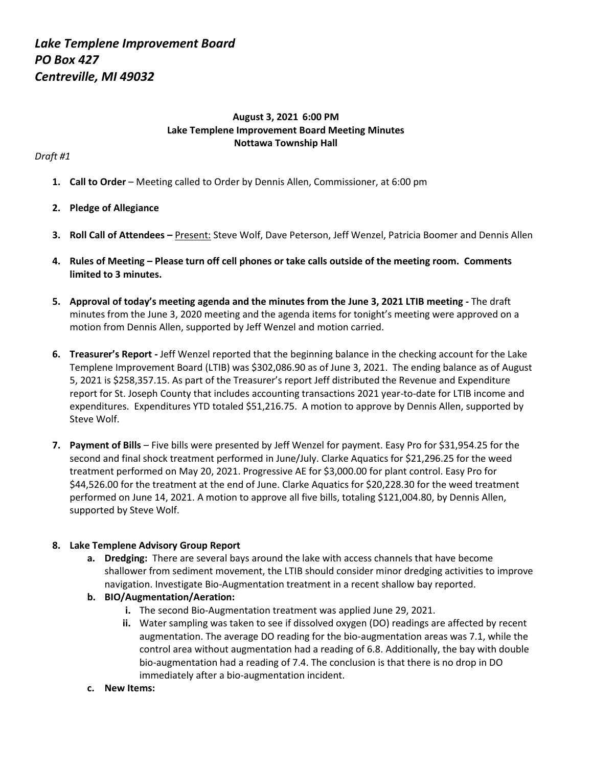# **August 3, 2021 6:00 PM Lake Templene Improvement Board Meeting Minutes Nottawa Township Hall**

### *Draft #1*

**1. Call to Order** – Meeting called to Order by Dennis Allen, Commissioner, at 6:00 pm

# **2. Pledge of Allegiance**

- **3. Roll Call of Attendees –** Present: Steve Wolf, Dave Peterson, Jeff Wenzel, Patricia Boomer and Dennis Allen
- **4. Rules of Meeting – Please turn off cell phones or take calls outside of the meeting room. Comments limited to 3 minutes.**
- **5. Approval of today's meeting agenda and the minutes from the June 3, 2021 LTIB meeting -** The draft minutes from the June 3, 2020 meeting and the agenda items for tonight's meeting were approved on a motion from Dennis Allen, supported by Jeff Wenzel and motion carried.
- **6. Treasurer's Report -** Jeff Wenzel reported that the beginning balance in the checking account for the Lake Templene Improvement Board (LTIB) was \$302,086.90 as of June 3, 2021. The ending balance as of August 5, 2021 is \$258,357.15. As part of the Treasurer's report Jeff distributed the Revenue and Expenditure report for St. Joseph County that includes accounting transactions 2021 year-to-date for LTIB income and expenditures. Expenditures YTD totaled \$51,216.75. A motion to approve by Dennis Allen, supported by Steve Wolf.
- **7. Payment of Bills** Five bills were presented by Jeff Wenzel for payment. Easy Pro for \$31,954.25 for the second and final shock treatment performed in June/July. Clarke Aquatics for \$21,296.25 for the weed treatment performed on May 20, 2021. Progressive AE for \$3,000.00 for plant control. Easy Pro for \$44,526.00 for the treatment at the end of June. Clarke Aquatics for \$20,228.30 for the weed treatment performed on June 14, 2021. A motion to approve all five bills, totaling \$121,004.80, by Dennis Allen, supported by Steve Wolf.

#### **8. Lake Templene Advisory Group Report**

- **a. Dredging:** There are several bays around the lake with access channels that have become shallower from sediment movement, the LTIB should consider minor dredging activities to improve navigation. Investigate Bio-Augmentation treatment in a recent shallow bay reported.
- **b. BIO/Augmentation/Aeration:**
	- **i.** The second Bio-Augmentation treatment was applied June 29, 2021.
	- **ii.** Water sampling was taken to see if dissolved oxygen (DO) readings are affected by recent augmentation. The average DO reading for the bio-augmentation areas was 7.1, while the control area without augmentation had a reading of 6.8. Additionally, the bay with double bio-augmentation had a reading of 7.4. The conclusion is that there is no drop in DO immediately after a bio-augmentation incident.
- **c. New Items:**